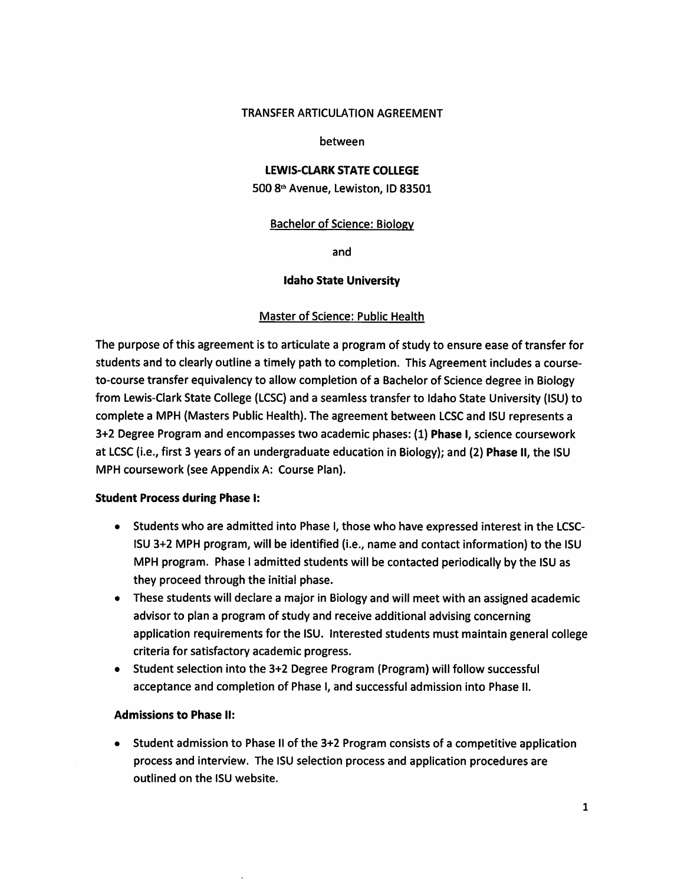#### **TRANSFER ARTICULATION AGREEMENT**

#### between

# **LEWIS-CLARK STATE COLLEGE**

500 8th Avenue, Lewiston, ID 83501

#### **Bachelor of Science: Biology**

and

#### **Idaho State University**

#### **Master of Science: Public Health**

The purpose of this agreement is to articulate a program of study to ensure ease of transfer for students and to clearly outline a timely path to completion. This Agreement includes a courseto-course transfer equivalency to allow completion of a Bachelor of Science degree in Biology from Lewis-Clark State College (LCSC) and a seamless transfer to Idaho State University (ISU) to complete a MPH (Masters Public Health). The agreement between LCSC and ISU represents a 3+2 Degree Program and encompasses two academic phases: (1) Phase I, science coursework at LCSC (i.e., first 3 years of an undergraduate education in Biology); and (2) Phase II, the ISU MPH coursework (see Appendix A: Course Plan).

#### **Student Process during Phase I:**

- Students who are admitted into Phase I, those who have expressed interest in the LCSC-ISU 3+2 MPH program, will be identified (i.e., name and contact information) to the ISU MPH program. Phase I admitted students will be contacted periodically by the ISU as they proceed through the initial phase.
- These students will declare a major in Biology and will meet with an assigned academic advisor to plan a program of study and receive additional advising concerning application requirements for the ISU. Interested students must maintain general college criteria for satisfactory academic progress.
- Student selection into the 3+2 Degree Program (Program) will follow successful acceptance and completion of Phase I, and successful admission into Phase II.

### **Admissions to Phase II:**

• Student admission to Phase II of the 3+2 Program consists of a competitive application process and interview. The ISU selection process and application procedures are outlined on the ISU website.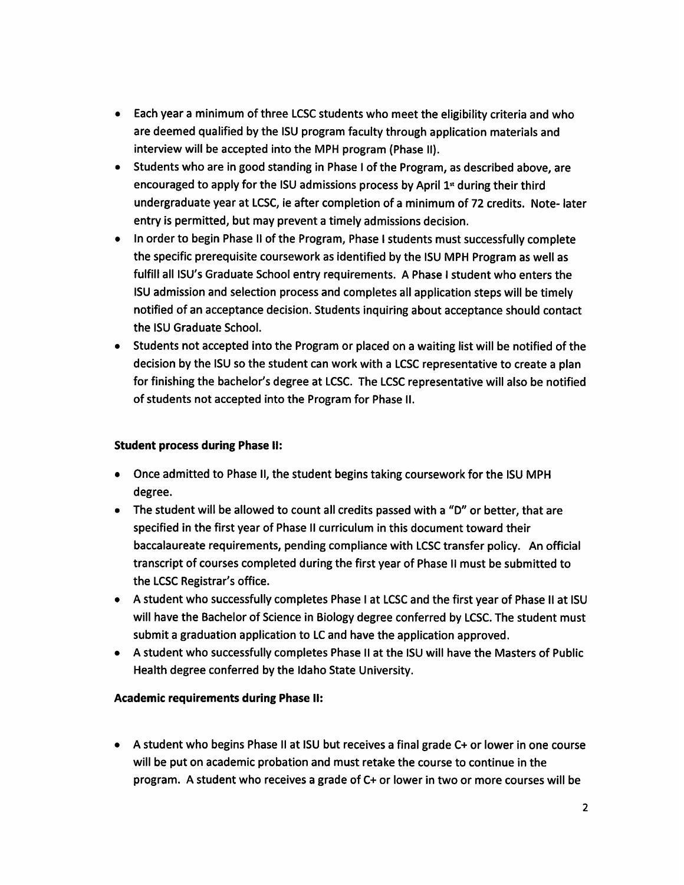- Each year a minimum of three LCSC students who meet the eligibility criteria and who are deemed qualified by the ISU program faculty through application materials and interview will be accepted into the MPH program (Phase II).
- Students who are in good standing in Phase I of the Program, as described above, are  $\bullet$ encouraged to apply for the ISU admissions process by April 1<sup>st</sup> during their third undergraduate year at LCSC, ie after completion of a minimum of 72 credits. Note-later entry is permitted, but may prevent a timely admissions decision.
- In order to begin Phase II of the Program, Phase I students must successfully complete  $\bullet$ the specific prerequisite coursework as identified by the ISU MPH Program as well as fulfill all ISU's Graduate School entry requirements. A Phase I student who enters the ISU admission and selection process and completes all application steps will be timely notified of an acceptance decision. Students inquiring about acceptance should contact the ISU Graduate School.
- Students not accepted into the Program or placed on a waiting list will be notified of the  $\bullet$ decision by the ISU so the student can work with a LCSC representative to create a plan for finishing the bachelor's degree at LCSC. The LCSC representative will also be notified of students not accepted into the Program for Phase II.

## **Student process during Phase II:**

- Once admitted to Phase II, the student begins taking coursework for the ISU MPH degree.
- The student will be allowed to count all credits passed with a "D" or better, that are specified in the first year of Phase II curriculum in this document toward their baccalaureate requirements, pending compliance with LCSC transfer policy. An official transcript of courses completed during the first year of Phase II must be submitted to the LCSC Registrar's office.
- A student who successfully completes Phase I at LCSC and the first year of Phase II at ISU will have the Bachelor of Science in Biology degree conferred by LCSC. The student must submit a graduation application to LC and have the application approved.
- A student who successfully completes Phase II at the ISU will have the Masters of Public Health degree conferred by the Idaho State University.

## **Academic requirements during Phase II:**

• A student who begins Phase II at ISU but receives a final grade C+ or lower in one course will be put on academic probation and must retake the course to continue in the program. A student who receives a grade of C+ or lower in two or more courses will be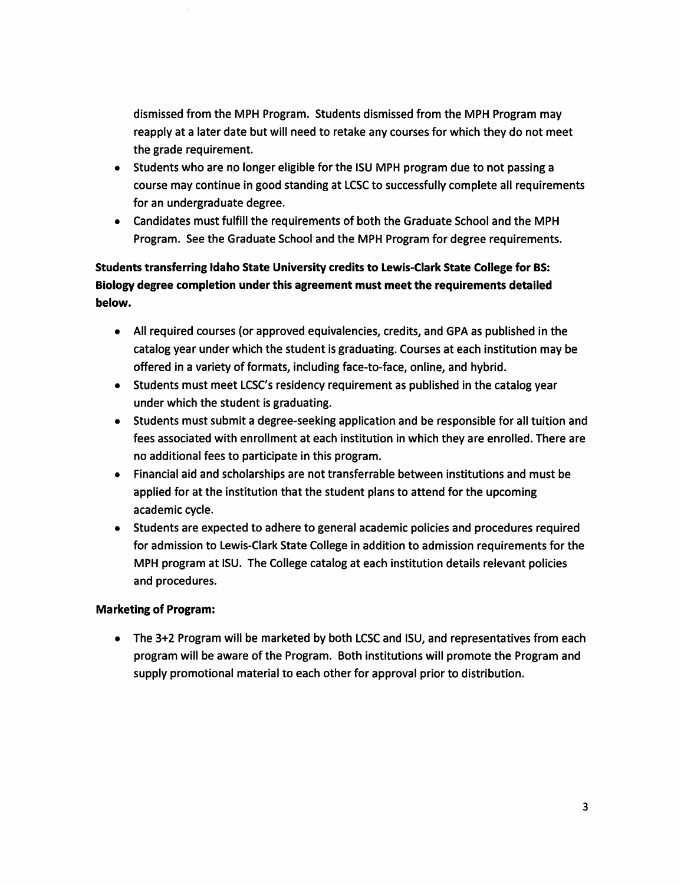dismissed from the MPH Program. Students dismissed from the MPH Program may reapply at a later date but will need to retake any courses for which they do not meet the grade requirement.

- Students who are no longer eligible for the ISU MPH program due to not passing a course may continue in good standing at LCSC to successfully complete all requirements for an undergraduate degree.
- Candidates must fulfill the requirements of both the Graduate School and the MPH Program. See the Graduate School and the MPH Program for degree requirements.

Students transferring Idaho State University credits to Lewis-Clark State College for BS: Biology degree completion under this agreement must meet the requirements detailed below.

- All required courses (or approved equivalencies, credits, and GPA as published in the catalog year under which the student is graduating. Courses at each institution may be offered in a variety of formats, including face-to-face, online, and hybrid.
- Students must meet LCSC's residency requirement as published in the catalog year under which the student is graduating.
- Students must submit a degree-seeking application and be responsible for all tuition and fees associated with enrollment at each institution in which they are enrolled. There are no additional fees to participate in this program.
- Financial aid and scholarships are not transferrable between institutions and must be applied for at the institution that the student plans to attend for the upcoming academic cycle.
- Students are expected to adhere to general academic policies and procedures required for admission to Lewis-Clark State College in addition to admission requirements for the MPH program at ISU. The College catalog at each institution details relevant policies and procedures.

## **Marketing of Program:**

• The 3+2 Program will be marketed by both LCSC and ISU, and representatives from each program will be aware of the Program. Both institutions will promote the Program and supply promotional material to each other for approval prior to distribution.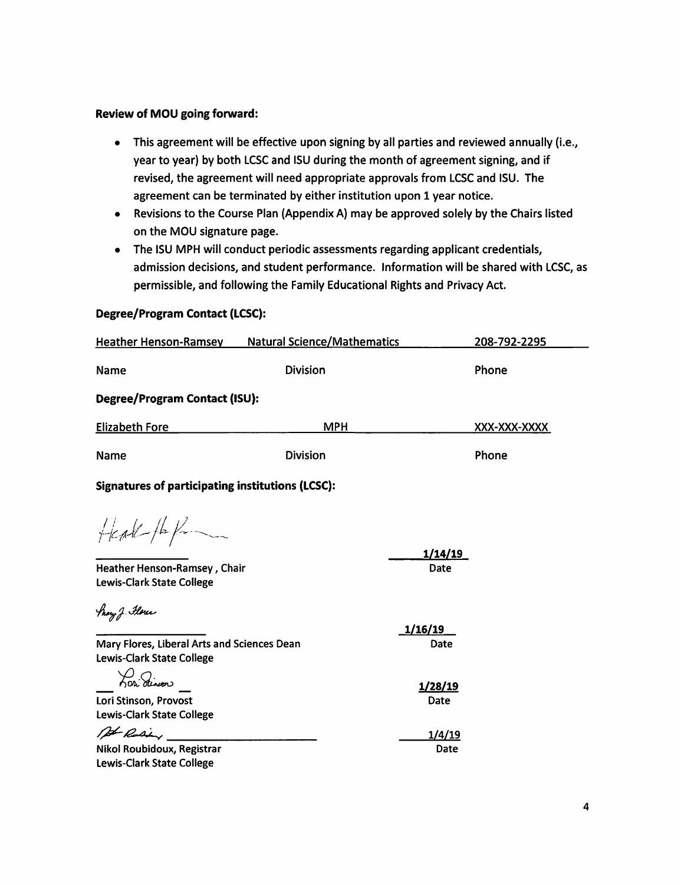### **Review of MOU going forward:**

- This agreement will be effective upon signing by all parties and reviewed annually (i.e., year to year) by both LCSC and ISU during the month of agreement signing, and if revised, the agreement will need appropriate approvals from LCSC and ISU. The agreement can be terminated by either institution upon 1 year notice.
- Revisions to the Course Plan (Appendix A) may be approved solely by the Chairs listed on the MOU signature page.
- The ISU MPH will conduct periodic assessments regarding applicant credentials, admission decisions, and student performance. Information will be shared with LCSC, as permissible, and following the Family Educational Rights and Privacy Act.

## **Degree/Program Contact (LCSC):**

| <b>Heather Henson-Ramsey</b>                                                                   | <b>Natural Science/Mathematics</b> |                         | 208-792-2295 |
|------------------------------------------------------------------------------------------------|------------------------------------|-------------------------|--------------|
| Name                                                                                           | <b>Division</b>                    |                         | Phone        |
| Degree/Program Contact (ISU):                                                                  |                                    |                         |              |
| <b>Elizabeth Fore</b>                                                                          | <b>MPH</b>                         |                         | XXX-XXX-XXXX |
| Name                                                                                           | <b>Division</b>                    |                         | Phone        |
| <b>Signatures of participating institutions (LCSC):</b>                                        |                                    |                         |              |
| $H$ cat $H$<br>Heather Henson-Ramsey, Chair                                                    |                                    | <u>1/14/19 </u><br>Date |              |
| Lewis-Clark State College                                                                      |                                    |                         |              |
| thay J. Flores                                                                                 |                                    | 1/16/19                 |              |
| Mary Flores, Liberal Arts and Sciences Dean                                                    |                                    | Date                    |              |
| Lewis-Clark State College<br>Lori dinoon<br>Lori Stinson, Provost<br>Lewis-Clark State College |                                    | 1/28/19<br>Date         |              |
| At Rusing<br>Nikol Roubidoux, Registrar<br><b>Lewis-Clark State College</b>                    |                                    | 1/4/19<br>Date          |              |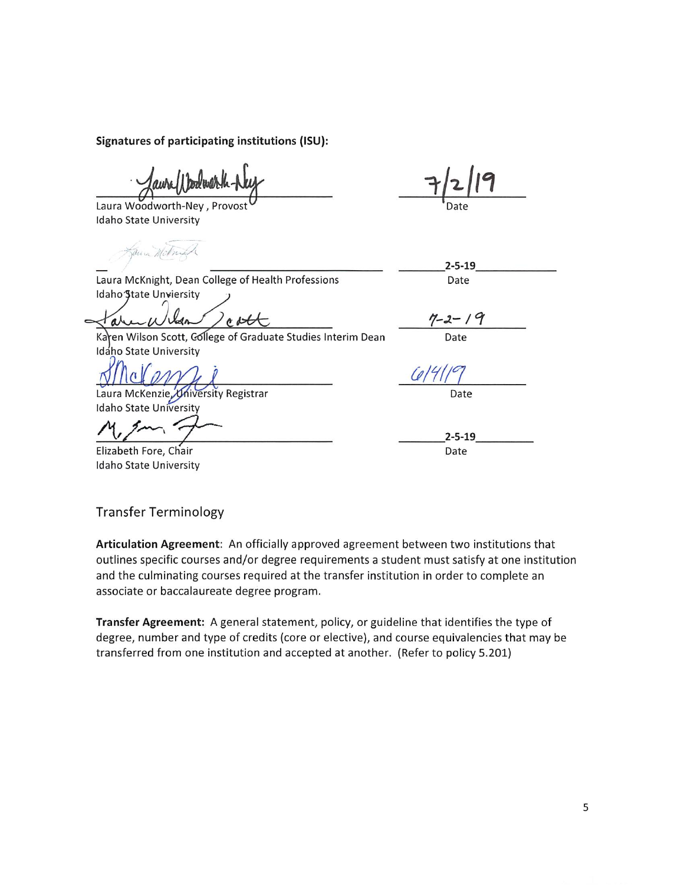Signatures of participating institutions (ISU):

Laura Woodworth-Ney, Provost Idaho State University

Sauce Mcknight

 $2 - 5 - 19$ 

Date

Laura McKnight, Dean College of Health Professions

Idaho State Unviersity

cott **a** 

en Wilson Scott, Gollege of Graduate Studies Interim Dean Kar Idáho State University

Laura McKenzie, University Registrar **Idaho State University** 

Elizabeth Fore, Chair Idaho State University

 $7 - 2 - 19$ 

Date

Date

 $2 - 5 - 19$ Date

**Transfer Terminology** 

Articulation Agreement: An officially approved agreement between two institutions that outlines specific courses and/or degree requirements a student must satisfy at one institution and the culminating courses required at the transfer institution in order to complete an associate or baccalaureate degree program.

Transfer Agreement: A general statement, policy, or guideline that identifies the type of degree, number and type of credits (core or elective), and course equivalencies that may be transferred from one institution and accepted at another. (Refer to policy 5.201)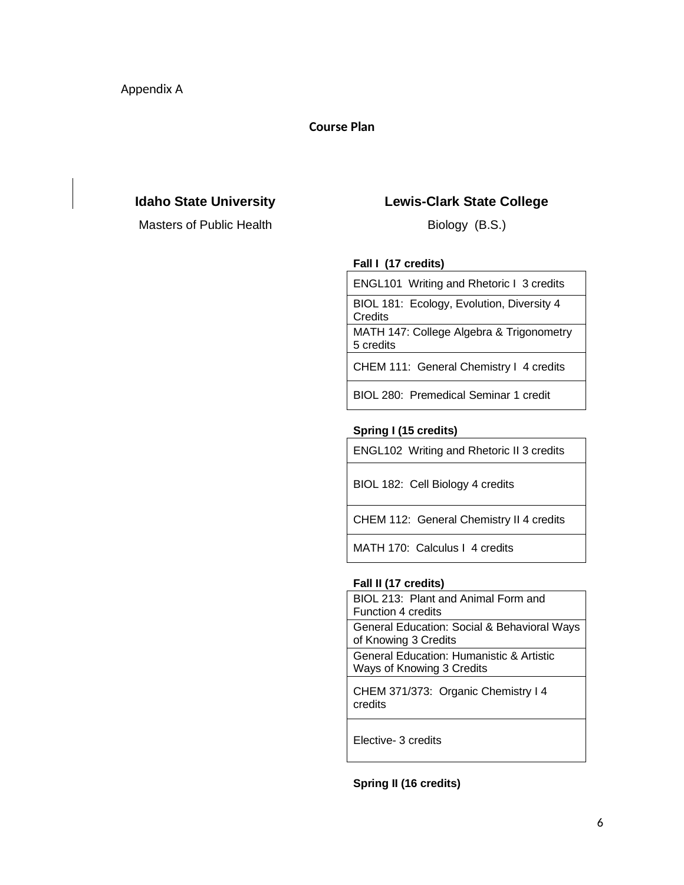## **Course Plan**

Masters of Public Health Biology (B.S.)

## **Idaho State University Lewis-Clark State College**

### **Fall I (17 credits)**

ENGL101 Writing and Rhetoric I 3 credits BIOL 181: Ecology, Evolution, Diversity 4 **Credits** 

MATH 147: College Algebra & Trigonometry 5 credits

CHEM 111: General Chemistry I 4 credits

BIOL 280: Premedical Seminar 1 credit

### **Spring I (15 credits)**

ENGL102 Writing and Rhetoric II 3 credits

BIOL 182: Cell Biology 4 credits

CHEM 112: General Chemistry II 4 credits

MATH 170: Calculus I 4 credits

#### **Fall II (17 credits)**

BIOL 213: Plant and Animal Form and Function 4 credits General Education: Social & Behavioral Ways of Knowing 3 Credits General Education: Humanistic & Artistic Ways of Knowing 3 Credits

CHEM 371/373: Organic Chemistry I 4 credits

Elective- 3 credits

**Spring II (16 credits)**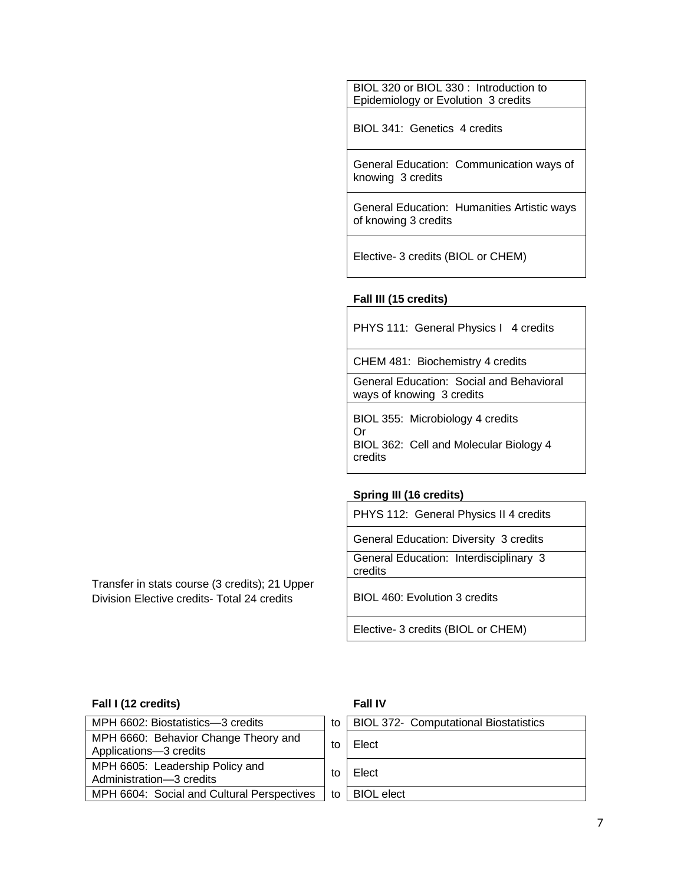BIOL 320 or BIOL 330 : Introduction to Epidemiology or Evolution 3 credits

BIOL 341: Genetics 4 credits

General Education: Communication ways of knowing 3 credits

General Education: Humanities Artistic ways of knowing 3 credits

Elective- 3 credits (BIOL or CHEM)

## **Fall III (15 credits)**

PHYS 111: General Physics I 4 credits

CHEM 481: Biochemistry 4 credits

General Education: Social and Behavioral ways of knowing 3 credits

BIOL 355: Microbiology 4 credits Or BIOL 362: Cell and Molecular Biology 4 credits

### **Spring III (16 credits)**

PHYS 112: General Physics II 4 credits

General Education: Diversity 3 credits General Education: Interdisciplinary 3 credits

Division Elective credits- Total 24 credits | BIOL 460: Evolution 3 credits

Elective- 3 credits (BIOL or CHEM)

## **Fall I (12 credits) Fall IV**

## MPH 6602: Biostatistics—3 credits  $\vert$  to MPH 6660: Behavior Change Theory and  $\mu$ Principle Cliential Change Theory and  $\mu$  to  $\mu$ MPH 6605: Leadership Policy and  $\mu$ <sub>11</sub> roots. Leadership Folicy and  $\mu$  to  $\mu$ MPH 6604: Social and Cultural Perspectives to

Transfer in stats course (3 credits); 21 Upper

| <b>BIOL 372- Computational Biostatistics</b> |
|----------------------------------------------|
| <b>Elect</b>                                 |
| <b>Elect</b>                                 |
| <b>BIOL</b> elect                            |